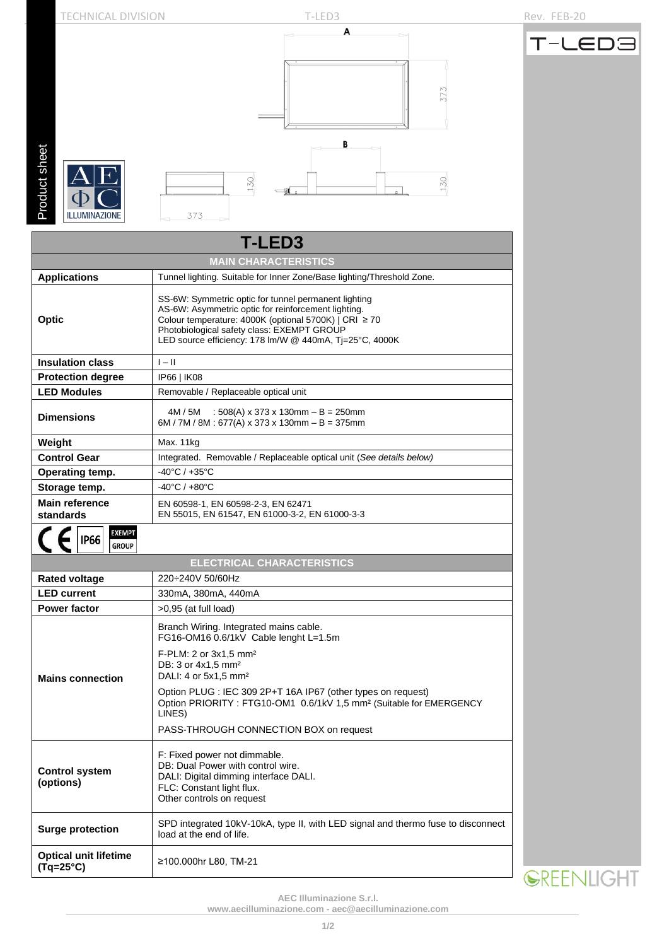

| <b>T-LED3</b>                                      |                                                                                                                                                                                                                                                                               |  |  |  |  |  |
|----------------------------------------------------|-------------------------------------------------------------------------------------------------------------------------------------------------------------------------------------------------------------------------------------------------------------------------------|--|--|--|--|--|
| <b>MAIN CHARACTERISTICS</b>                        |                                                                                                                                                                                                                                                                               |  |  |  |  |  |
| <b>Applications</b>                                | Tunnel lighting. Suitable for Inner Zone/Base lighting/Threshold Zone.                                                                                                                                                                                                        |  |  |  |  |  |
| Optic                                              | SS-6W: Symmetric optic for tunnel permanent lighting<br>AS-6W: Asymmetric optic for reinforcement lighting.<br>Colour temperature: 4000K (optional 5700K)   CRI ≥ 70<br>Photobiological safety class: EXEMPT GROUP<br>LED source efficiency: 178 lm/W @ 440mA, Tj=25°C, 4000K |  |  |  |  |  |
| <b>Insulation class</b>                            | $I - II$                                                                                                                                                                                                                                                                      |  |  |  |  |  |
| <b>Protection degree</b>                           | IP66   IK08                                                                                                                                                                                                                                                                   |  |  |  |  |  |
| <b>LED Modules</b>                                 | Removable / Replaceable optical unit                                                                                                                                                                                                                                          |  |  |  |  |  |
| <b>Dimensions</b>                                  | : 508(A) x 373 x 130mm – B = 250mm<br>4M / 5M<br>6M / 7M / 8M : 677(A) x 373 x 130mm - B = 375mm                                                                                                                                                                              |  |  |  |  |  |
| Weight                                             | Max. 11kg                                                                                                                                                                                                                                                                     |  |  |  |  |  |
| <b>Control Gear</b>                                | Integrated. Removable / Replaceable optical unit (See details below)                                                                                                                                                                                                          |  |  |  |  |  |
| Operating temp.                                    | $-40^{\circ}$ C / $+35^{\circ}$ C                                                                                                                                                                                                                                             |  |  |  |  |  |
| Storage temp.                                      | $-40^{\circ}$ C / $+80^{\circ}$ C                                                                                                                                                                                                                                             |  |  |  |  |  |
| <b>Main reference</b><br>standards                 | EN 60598-1, EN 60598-2-3, EN 62471<br>EN 55015, EN 61547, EN 61000-3-2, EN 61000-3-3                                                                                                                                                                                          |  |  |  |  |  |
| <b>EXEMPT</b><br><b>IP66</b><br><b>GROUP</b>       |                                                                                                                                                                                                                                                                               |  |  |  |  |  |
|                                                    | <b>ELECTRICAL CHARACTERISTICS</b>                                                                                                                                                                                                                                             |  |  |  |  |  |
| <b>Rated voltage</b>                               | 220÷240V 50/60Hz                                                                                                                                                                                                                                                              |  |  |  |  |  |
| <b>LED current</b>                                 | 330mA, 380mA, 440mA                                                                                                                                                                                                                                                           |  |  |  |  |  |
| <b>Power factor</b>                                | $>0.95$ (at full load)                                                                                                                                                                                                                                                        |  |  |  |  |  |
|                                                    | Branch Wiring. Integrated mains cable.<br>FG16-OM16 0.6/1kV Cable lenght L=1.5m                                                                                                                                                                                               |  |  |  |  |  |
| <b>Mains connection</b>                            | F-PLM: 2 or 3x1,5 mm <sup>2</sup><br>DB: 3 or 4x1,5 mm <sup>2</sup><br>DALI: 4 or 5x1,5 mm <sup>2</sup>                                                                                                                                                                       |  |  |  |  |  |
|                                                    | Option PLUG : IEC 309 2P+T 16A IP67 (other types on request)<br>Option PRIORITY: FTG10-OM1 0.6/1kV 1,5 mm <sup>2</sup> (Suitable for EMERGENCY<br>LINES)                                                                                                                      |  |  |  |  |  |
|                                                    | PASS-THROUGH CONNECTION BOX on request                                                                                                                                                                                                                                        |  |  |  |  |  |
| <b>Control system</b><br>(options)                 | F: Fixed power not dimmable.<br>DB: Dual Power with control wire.<br>DALI: Digital dimming interface DALI.<br>FLC: Constant light flux.<br>Other controls on request                                                                                                          |  |  |  |  |  |
| <b>Surge protection</b>                            | SPD integrated 10kV-10kA, type II, with LED signal and thermo fuse to disconnect<br>load at the end of life.                                                                                                                                                                  |  |  |  |  |  |
| <b>Optical unit lifetime</b><br>$(Tq=25^{\circ}C)$ | ≥100.000hr L80, TM-21                                                                                                                                                                                                                                                         |  |  |  |  |  |



**AEC Illuminazione S.r.l.** 

**[www.aecilluminazione.c](http://www.aecilluminazione./)om - [aec@aecilluminazione.com](mailto:aec@aecilluminazione.com)**